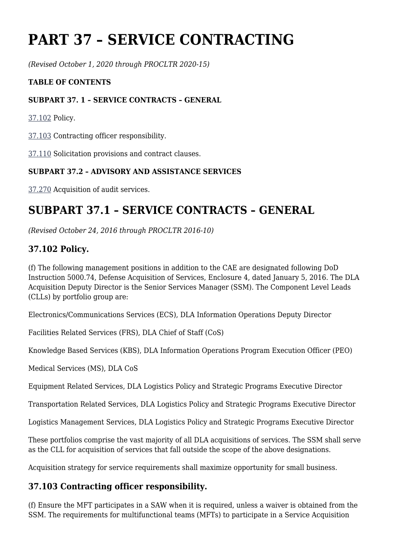# **PART 37 – SERVICE CONTRACTING**

*(Revised October 1, 2020 through PROCLTR 2020-15)*

#### **TABLE OF CONTENTS**

#### **SUBPART 37. 1 – SERVICE CONTRACTS – GENERAL**

[37.102](https://www.acquisition.gov/%5Brp:link:dlad-part-37%5D#P37_102) Policy.

[37.103](https://www.acquisition.gov/%5Brp:link:dlad-part-37%5D#P37_103) Contracting officer responsibility.

[37.110](https://www.acquisition.gov/%5Brp:link:dlad-part-37%5D#P37_110) Solicitation provisions and contract clauses.

#### **SUBPART 37.2 – ADVISORY AND ASSISTANCE SERVICES**

[37.270](https://www.acquisition.gov/%5Brp:link:dlad-part-37%5D#P37_270) Acquisition of audit services.

# **SUBPART 37.1 – SERVICE CONTRACTS – GENERAL**

*(Revised October 24, 2016 through PROCLTR 2016-10)*

## **37.102 Policy.**

(f) The following management positions in addition to the CAE are designated following DoD Instruction 5000.74, Defense Acquisition of Services, Enclosure 4, dated January 5, 2016. The DLA Acquisition Deputy Director is the Senior Services Manager (SSM). The Component Level Leads (CLLs) by portfolio group are:

Electronics/Communications Services (ECS), DLA Information Operations Deputy Director

Facilities Related Services (FRS), DLA Chief of Staff (CoS)

Knowledge Based Services (KBS), DLA Information Operations Program Execution Officer (PEO)

Medical Services (MS), DLA CoS

Equipment Related Services, DLA Logistics Policy and Strategic Programs Executive Director

Transportation Related Services, DLA Logistics Policy and Strategic Programs Executive Director

Logistics Management Services, DLA Logistics Policy and Strategic Programs Executive Director

These portfolios comprise the vast majority of all DLA acquisitions of services. The SSM shall serve as the CLL for acquisition of services that fall outside the scope of the above designations.

Acquisition strategy for service requirements shall maximize opportunity for small business.

## **37.103 Contracting officer responsibility.**

(f) Ensure the MFT participates in a SAW when it is required, unless a waiver is obtained from the SSM. The requirements for multifunctional teams (MFTs) to participate in a Service Acquisition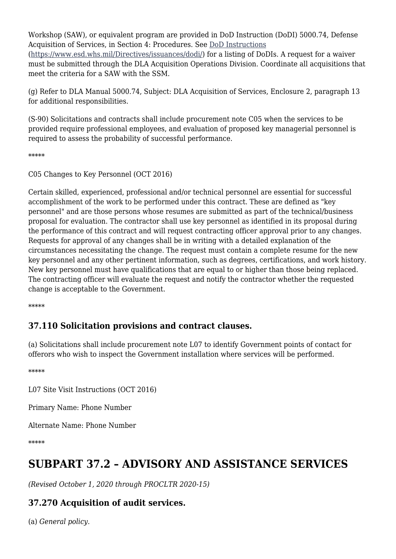Workshop (SAW), or equivalent program are provided in DoD Instruction (DoDI) 5000.74, Defense Acquisition of Services, in Section 4: Procedures. See [DoD Instructions](https://www.esd.whs.mil/Directives/issuances/dodi/) [\(https://www.esd.whs.mil/Directives/issuances/dodi/](https://www.esd.whs.mil/Directives/issuances/dodi/)) for a listing of DoDIs. A request for a waiver must be submitted through the DLA Acquisition Operations Division. Coordinate all acquisitions that meet the criteria for a SAW with the SSM.

(g) Refer to DLA Manual 5000.74, Subject: DLA Acquisition of Services, Enclosure 2, paragraph 13 for additional responsibilities.

(S-90) Solicitations and contracts shall include procurement note C05 when the services to be provided require professional employees, and evaluation of proposed key managerial personnel is required to assess the probability of successful performance.

\*\*\*\*\*

C05 Changes to Key Personnel (OCT 2016)

Certain skilled, experienced, professional and/or technical personnel are essential for successful accomplishment of the work to be performed under this contract. These are defined as "key personnel" and are those persons whose resumes are submitted as part of the technical/business proposal for evaluation. The contractor shall use key personnel as identified in its proposal during the performance of this contract and will request contracting officer approval prior to any changes. Requests for approval of any changes shall be in writing with a detailed explanation of the circumstances necessitating the change. The request must contain a complete resume for the new key personnel and any other pertinent information, such as degrees, certifications, and work history. New key personnel must have qualifications that are equal to or higher than those being replaced. The contracting officer will evaluate the request and notify the contractor whether the requested change is acceptable to the Government.

\*\*\*\*\*

## **37.110 Solicitation provisions and contract clauses.**

(a) Solicitations shall include procurement note L07 to identify Government points of contact for offerors who wish to inspect the Government installation where services will be performed.

\*\*\*\*\*

L07 Site Visit Instructions (OCT 2016)

Primary Name: Phone Number

Alternate Name: Phone Number

\*\*\*\*\*

# **SUBPART 37.2 – ADVISORY AND ASSISTANCE SERVICES**

*(Revised October 1, 2020 through PROCLTR 2020-15)*

## **37.270 Acquisition of audit services.**

(a) *General policy.*